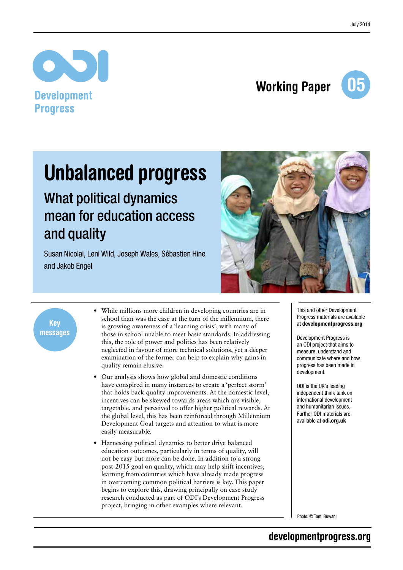

## Working Paper



## Unbalanced progress

## What political dynamics mean for education access and quality

Susan Nicolai, Leni Wild, Joseph Wales, Sébastien Hine and Jakob Engel



Key messages

- While millions more children in developing countries are in school than was the case at the turn of the millennium, there is growing awareness of a 'learning crisis', with many of those in school unable to meet basic standards. In addressing this, the role of power and politics has been relatively neglected in favour of more technical solutions, yet a deeper examination of the former can help to explain why gains in quality remain elusive.
- Our analysis shows how global and domestic conditions have conspired in many instances to create a 'perfect storm' that holds back quality improvements. At the domestic level, incentives can be skewed towards areas which are visible, targetable, and perceived to offer higher political rewards. At the global level, this has been reinforced through Millennium Development Goal targets and attention to what is more easily measurable.
- Harnessing political dynamics to better drive balanced education outcomes, particularly in terms of quality, will not be easy but more can be done. In addition to a strong post-2015 goal on quality, which may help shift incentives, learning from countries which have already made progress in overcoming common political barriers is key. This paper begins to explore this, drawing principally on case study research conducted as part of ODI's Development Progress project, bringing in other examples where relevant.

This and other Development Progress materials are available at developmentprogress.org

Development Progress is an ODI project that aims to measure, understand and communicate where and how progress has been made in development.

ODI is the UK's leading independent think tank on international development and humanitarian issues. Further ODI materials are available at odi.org.uk

Photo: © Tanti Ruwani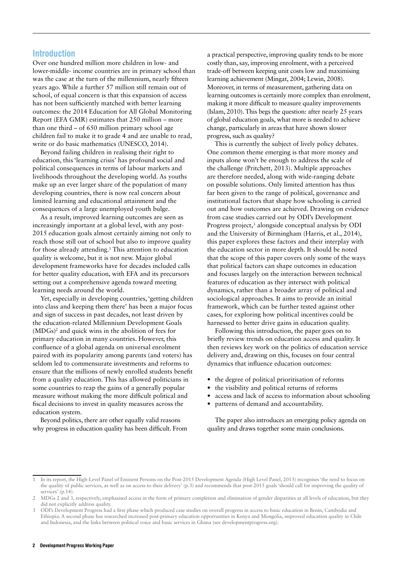#### **Introduction**

Over one hundred million more children in low- and lower-middle- income countries are in primary school than was the case at the turn of the millennium, nearly fifteen years ago. While a further 57 million still remain out of school, of equal concern is that this expansion of access has not been sufficiently matched with better learning outcomes: the 2014 Education for All Global Monitoring Report (EFA GMR) estimates that 250 million – more than one third – of 650 million primary school age children fail to make it to grade 4 and are unable to read, write or do basic mathematics (UNESCO, 2014).

Beyond failing children in realising their right to education, this 'learning crisis' has profound social and political consequences in terms of labour markets and livelihoods throughout the developing world. As youths make up an ever larger share of the population of many developing countries, there is now real concern about limited learning and educational attainment and the consequences of a large unemployed youth bulge.

As a result, improved learning outcomes are seen as increasingly important at a global level, with any post-2015 education goals almost certainly aiming not only to reach those still out of school but also to improve quality for those already attending.<sup>1</sup> This attention to education quality is welcome, but it is not new. Major global development frameworks have for decades included calls for better quality education, with EFA and its precursors setting out a comprehensive agenda toward meeting learning needs around the world.

Yet, especially in developing countries, 'getting children into class and keeping them there' has been a major focus and sign of success in past decades, not least driven by the education-related Millennium Development Goals  $(MDGs)^2$  and quick wins in the abolition of fees for primary education in many countries. However, this confluence of a global agenda on universal enrolment paired with its popularity among parents (and voters) has seldom led to commensurate investments and reforms to ensure that the millions of newly enrolled students benefit from a quality education. This has allowed politicians in some countries to reap the gains of a generally popular measure without making the more difficult political and fiscal decisions to invest in quality measures across the education system.

Beyond politics, there are other equally valid reasons why progress in education quality has been difficult. From a practical perspective, improving quality tends to be more costly than, say, improving enrolment, with a perceived trade-off between keeping unit costs low and maximising learning achievement (Mingat, 2004; Lewin, 2008). Moreover, in terms of measurement, gathering data on learning outcomes is certainly more complex than enrolment, making it more difficult to measure quality improvements (Islam, 2010).This begs the question: after nearly 25 years of global education goals, what more is needed to achieve change, particularly in areas that have shown slower progress, such as quality?

This is currently the subject of lively policy debates. One common theme emerging is that more money and inputs alone won't be enough to address the scale of the challenge (Pritchett, 2013). Multiple approaches are therefore needed, along with wide-ranging debate on possible solutions. Only limited attention has thus far been given to the range of political, governance and institutional factors that shape how schooling is carried out and how outcomes are achieved. Drawing on evidence from case studies carried out by ODI's Development Progress project,<sup>3</sup> alongside conceptual analysis by ODI and the University of Birmingham (Harris, et al., 2014), this paper explores these factors and their interplay with the education sector in more depth. It should be noted that the scope of this paper covers only some of the ways that political factors can shape outcomes in education and focuses largely on the interaction between technical features of education as they intersect with political dynamics, rather than a broader array of political and sociological approaches. It aims to provide an initial framework, which can be further tested against other cases, for exploring how political incentives could be harnessed to better drive gains in education quality.

Following this introduction, the paper goes on to briefly review trends on education access and quality. It then reviews key work on the politics of education service delivery and, drawing on this, focuses on four central dynamics that influence education outcomes:

- the degree of political prioritisation of reforms
- **•** the visibility and political returns of reforms
- **•** access and lack of access to information about schooling
- **•** patterns of demand and accountability.

The paper also introduces an emerging policy agenda on quality and draws together some main conclusions.

<sup>1</sup> In its report, the High-Level Panel of Eminent Persons on the Post-2015 Development Agenda (High Level Panel, 2013) recognises'the need to focus on the quality of public services, as well as on access to their delivery' (p.3) and recommends that post-2015 goals'should call for improving the quality of services' (p.14).

MDGs 2 and 3, respectively, emphasised access in the form of primary completion and elimination of gender disparities at all levels of education, but they did not explicitly address quality.

<sup>3</sup> ODI's Development Progress had a first phase which produced case studies on overall progress in access to basic education in Benin, Cambodia and Ethiopia. A second phase has researched increased post-primary education opportunities in Kenya and Mongolia, improved education quality in Chile and Indonesia, and the links between political voice and basic services in Ghana (see developmentprogress.org).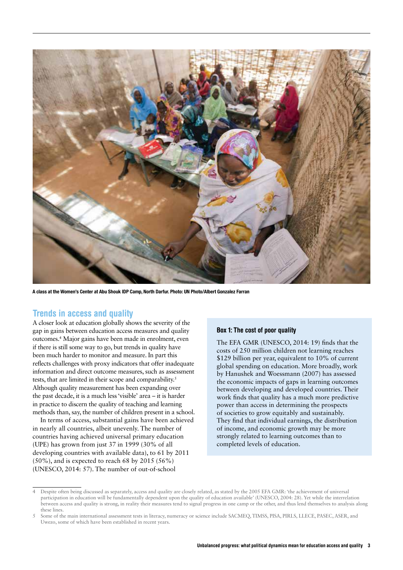

A class at the Women's Center at Abu Shouk IDP Camp, North Darfur. Photo: UN Photo/Albert Gonzalez Farran

#### Trends in access and quality

A closer look at education globally shows the severity of the gap in gains between education access measures and quality outcomes.4 Major gains have been made in enrolment, even if there is still some way to go, but trends in quality have been much harder to monitor and measure. In part this reflects challenges with proxy indicators that offer inadequate information and direct outcome measures, such as assessment tests, that are limited in their scope and comparability.<sup>5</sup> Although quality measurement has been expanding over the past decade, it is a much less'visible' area – it is harder in practice to discern the quality of teaching and learning methods than, say, the number of children present in a school.

In terms of access, substantial gains have been achieved in nearly all countries, albeit unevenly. The number of countries having achieved universal primary education (UPE) has grown from just 37 in 1999 (30% of all developing countries with available data), to 61 by 2011  $(50\%)$ , and is expected to reach 68 by 2015 (56%) (UNESCO, 2014: 57). The number of out-of-school

#### Box 1: The cost of poor quality

The EFA GMR (UNESCO, 2014: 19) finds that the costs of 250 million children not learning reaches \$129 billion per year, equivalent to 10% of current global spending on education. More broadly, work by Hanushek and Woessmann (2007) has assessed the economic impacts of gaps in learning outcomes between developing and developed countries. Their work finds that quality has a much more predictive power than access in determining the prospects of societies to grow equitably and sustainably. They find that individual earnings, the distribution of income, and economic growth may be more strongly related to learning outcomes than to completed levels of education.

Despite often being discussed as separately, access and quality are closely related, as stated by the 2005 EFA GMR: 'the achievement of universal participation in education will be fundamentally dependent upon the quality of education available' (UNESCO, 2004: 28). Yet while the interrelation between access and quality is strong, in reality their measures tend to signal progress in one camp or the other, and thus lend themselves to analysis along these lines.

<sup>5</sup> Some of the main international assessment tests in literacy, numeracy or science include SACMEQ, TIMSS, PISA, PIRLS, LLECE, PASEC, ASER, and Uwezo, some of which have been established in recent years.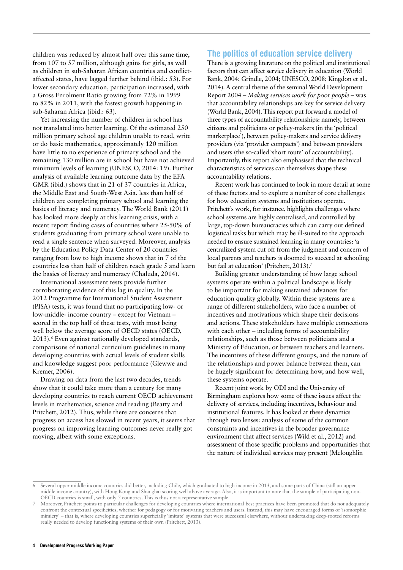children was reduced by almost half over this same time, from 107 to 57 million, although gains for girls, as well as children in sub-Saharan African countries and conflictaffected states, have lagged further behind (ibid.: 53). For lower secondary education, participation increased, with a Gross Enrolment Ratio growing from 72% in 1999 to 82% in 2011, with the fastest growth happening in sub-Saharan Africa (ibid.: 63).

Yet increasing the number of children in school has not translated into better learning. Of the estimated 250 million primary school age children unable to read, write or do basic mathematics, approximately 120 million have little to no experience of primary school and the remaining 130 million are in school but have not achieved minimum levels of learning (UNESCO, 2014: 19). Further analysis of available learning outcome data by the EFA GMR (ibid.) shows that in 21 of 37 countries in Africa, the Middle East and South-West Asia, less than half of children are completing primary school and learning the basics of literacy and numeracy. The World Bank (2011) has looked more deeply at this learning crisis, with a recent report finding cases of countries where 25-50% of students graduating from primary school were unable to read a single sentence when surveyed. Moreover, analysis by the Education Policy Data Center of 20 countries ranging from low to high income shows that in 7 of the countries less than half of children reach grade 5 and learn the basics of literacy and numeracy (Chaluda, 2014).

International assessment tests provide further corroborating evidence of this lag in quality. In the 2012 Programme for International Student Assesment (PISA) tests, it was found that no participating low- or low-middle- income country – except for Vietnam – scored in the top half of these tests, with most being well below the average score of OECD states (OECD, 2013).<sup>6</sup> Even against nationally developed standards, comparisons of national curriculum guidelines in many developing countries with actual levels of student skills and knowledge suggest poor performance (Glewwe and Kremer, 2006).

Drawing on data from the last two decades, trends show that it could take more than a century for many developing countries to reach current OECD achievement levels in mathematics, science and reading (Beatty and Pritchett, 2012). Thus, while there are concerns that progress on access has slowed in recent years, it seems that progress on improving learning outcomes never really got moving, albeit with some exceptions.

#### The politics of education service delivery

There is a growing literature on the political and institutional factors that can affect service delivery in education (World Bank, 2004; Grindle, 2004; UNESCO, 2008; Kingdon et al., 2014). A central theme of the seminal World Development Report 2004 – *Making services work for poor people* – was that accountability relationships are key for service delivery (World Bank, 2004). This report put forward a model of three types of accountability relationships: namely, between citizens and politicians or policy-makers (in the 'political marketplace'), between policy-makers and service delivery providers (via 'provider compacts') and between providers and users (the so-called 'short route' of accountability). Importantly, this report also emphasised that the technical characteristics of services can themselves shape these accountability relations.

Recent work has continued to look in more detail at some of these factors and to explore a number of core challenges for how education systems and institutions operate. Pritchett's work, for instance, highlights challenges where school systems are highly centralised, and controlled by large, top-down bureaucracies which can carry out defined logistical tasks but which may be ill-suited to the approach needed to ensure sustained learning in many countries: 'a centralized system cut off from the judgment and concern of local parents and teachers is doomed to succeed at schooling but fail at education' (Pritchett, 2013).<sup>7</sup>

Building greater understanding of how large school systems operate within a political landscape is likely to be important for making sustained advances for education quality globally. Within these systems are a range of different stakeholders, who face a number of incentives and motivations which shape their decisions and actions. These stakeholders have multiple connections with each other – including forms of accountability relationships, such as those between politicians and a Ministry of Education, or between teachers and learners. The incentives of these different groups, and the nature of the relationships and power balance between them, can be hugely significant for determining how, and how well, these systems operate.

Recent joint work by ODI and the University of Birmingham explores how some of these issues affect the delivery of services, including incentives, behaviour and institutional features. It has looked at these dynamics through two lenses: analysis of some of the common constraints and incentives in the broader governance environment that affect services (Wild et al., 2012) and assessment of those specific problems and opportunities that the nature of individual services may present (Mcloughlin

Several upper middle income countries did better, including Chile, which graduated to high income in 2013, and some parts of China (still an upper middle income country), with Hong Kong and Shanghai scoring well above average. Also, it is important to note that the sample of participating non-OECD countries is small, with only 7 countries. This is thus not a representative sample.

Moreover, Pritchett points to particular challenges for developing countries where international best practices have been promoted that do not adequately confront the contextual specificities, whether for pedagogy or for motivating teachers and users. Instead, this may have encouraged forms of 'isomorphic mimicry' – that is, where developing countries superficially 'imitate' systems that were successful elsewhere, without undertaking deep-rooted reforms really needed to develop functioning systems of their own (Pritchett, 2013).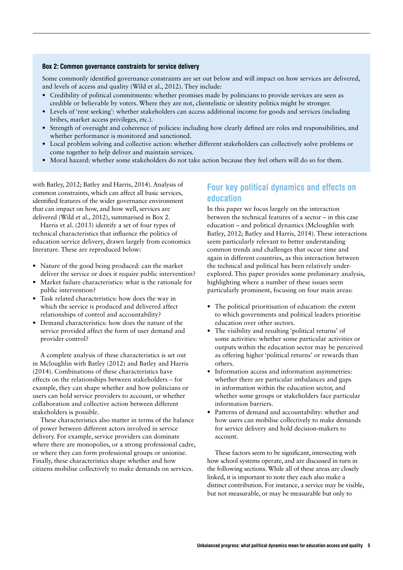#### Box 2: Common governance constraints for service delivery

Some commonly identified governance constraints are set out below and will impact on how services are delivered, and levels of access and quality (Wild et al., 2012). They include:

- **•** Credibility of political commitments: whether promises made by politicians to provide services are seen as credible or believable by voters. Where they are not, clientelistic or identity politics might be stronger.
- **•** Levels of 'rent seeking': whether stakeholders can access additional income for goods and services (including bribes, market access privileges, etc.).
- **•** Strength of oversight and coherence of policies: including how clearly defined are roles and responsibilities, and whether performance is monitored and sanctioned.
- **•** Local problem solving and collective action: whether different stakeholders can collectively solve problems or come together to help deliver and maintain services.
- **•** Moral hazard: whether some stakeholders do not take action because they feel others will do so for them.

with Batley, 2012; Batley and Harris, 2014). Analysis of common constraints, which can affect all basic services, identified features of the wider governance environment that can impact on how, and how well, services are delivered (Wild et al., 2012), summarised in Box 2.

Harris et al. (2013) identify a set of four types of technical characteristics that influence the politics of education service delivery, drawn largely from economics literature. These are reproduced below:

- Nature of the good being produced: can the market deliver the service or does it require public intervention?
- **•** Market failure characteristics: what is the rationale for public intervention?
- **•** Task related characteristics: how does the way in which the service is produced and delivered affect relationships of control and accountability?
- **•** Demand characteristics: how does the nature of the service provided affect the form of user demand and provider control?

A complete analysis of these characteristics is set out in Mcloughlin with Batley (2012) and Batley and Harris (2014). Combinations of these characteristics have effects on the relationships between stakeholders – for example, they can shape whether and how politicians or users can hold service providers to account, or whether collaboration and collective action between different stakeholders is possible.

These characteristics also matter in terms of the balance of power between different actors involved in service delivery. For example, service providers can dominate where there are monopolies, or a strong professional cadre, or where they can form professional groups or unionise. Finally, these characteristics shape whether and how citizens mobilise collectively to make demands on services.

#### Four key political dynamics and effects on education

In this paper we focus largely on the interaction between the technical features of a sector – in this case education – and political dynamics (Mcloughlin with Batley, 2012; Batley and Harris, 2014). These interactions seem particularly relevant to better understanding common trends and challenges that occur time and again in different countries, as this interaction between the technical and political has been relatively underexplored. This paper provides some preliminary analysis, highlighting where a number of these issues seem particularly prominent, focusing on four main areas:

- **•** The political prioritisation of education: the extent to which governments and political leaders prioritise education over other sectors.
- **•** The visibility and resulting 'political returns' of some activities: whether some particular activities or outputs within the education sector may be perceived as offering higher 'political returns' or rewards than others.
- **•** Information access and information asymmetries: whether there are particular imbalances and gaps in information within the education sector, and whether some groups or stakeholders face particular information barriers.
- **•** Patterns of demand and accountability: whether and how users can mobilise collectively to make demands for service delivery and hold decision-makers to account.

These factors seem to be significant, intersecting with how school systems operate, and are discussed in turn in the following sections.While all of these areas are closely linked, it is important to note they each also make a distinct contribution. For instance, a service may be visible, but not measurable, or may be measurable but only to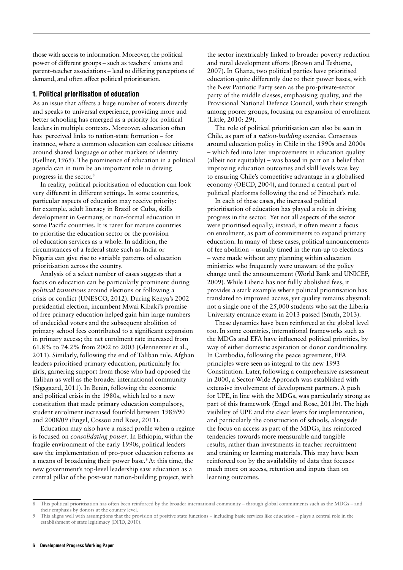those with access to information. Moreover, the political power of different groups – such as teachers' unions and parent–teacher associations – lead to differing perceptions of demand, and often affect political prioritisation.

#### 1. Political prioritisation of education

As an issue that affects a huge number of voters directly and speaks to universal experience, providing more and better schooling has emerged as a priority for political leaders in multiple contexts. Moreover, education often has perceived links to nation-state formation – for instance, where a common education can coalesce citizens around shared language or other markers of identity (Gellner, 1965). The prominence of education in a political agenda can in turn be an important role in driving progress in the sector.8

In reality, political prioritisation of education can look very different in different settings. In some countries, particular aspects of education may receive priority: for example, adult literacy in Brazil or Cuba, skills development in Germany, or non-formal education in some Pacific countries. It is rarer for mature countries to prioritise the education sector or the provision of education services as a whole. In addition, the circumstances of a federal state such as India or Nigeria can give rise to variable patterns of education prioritisation across the country.

Analysis of a select number of cases suggests that a focus on education can be particularly prominent during *political transitions* around elections or following a crisis or conflict (UNESCO, 2012). During Kenya's 2002 presidential election, incumbent Mwai Kibaki's promise of free primary education helped gain him large numbers of undecided voters and the subsequent abolition of primary school fees contributed to a significant expansion in primary access; the net enrolment rate increased from 61.8% to 74.2% from 2002 to 2003 (Glennerster et al., 2011). Similarly, following the end of Taliban rule, Afghan leaders prioritised primary education, particularly for girls, garnering support from those who had opposed the Taliban as well as the broader international community (Sigsgaard, 2011). In Benin, following the economic and political crisis in the 1980s, which led to a new constitution that made primary education compulsory, student enrolment increased fourfold between 1989/90 and 2008/09 (Engel, Cossou and Rose, 2011).

Education may also have a raised profile when a regime is focused on *consolidating power*. In Ethiopia, within the fragile environment of the early 1990s, political leaders saw the implementation of pro-poor education reforms as a means of broadening their power base.9 At this time, the new government's top-level leadership saw education as a central pillar of the post-war nation-building project, with

the sector inextricably linked to broader poverty reduction and rural development efforts (Brown and Teshome, 2007). In Ghana, two political parties have prioritised education quite differently due to their power bases, with the New Patriotic Party seen as the pro-private-sector party of the middle classes, emphasising quality, and the Provisional National Defence Council, with their strength among poorer groups, focusing on expansion of enrolment (Little, 2010: 29).

The role of political prioritisation can also be seen in Chile, as part of a *nation-building* exercise. Consensus around education policy in Chile in the 1990s and 2000s – which fed into later improvements in education quality (albeit not equitably) – was based in part on a belief that improving education outcomes and skill levels was key to ensuring Chile's competitive advantage in a globalised economy (OECD, 2004), and formed a central part of political platforms following the end of Pinochet's rule.

In each of these cases, the increased political prioritisation of education has played a role in driving progress in the sector. Yet not all aspects of the sector were prioritised equally; instead, it often meant a focus on enrolment, as part of commitments to expand primary education. In many of these cases, political announcements of fee abolition – usually timed in the run-up to elections – were made without any planning within education ministries who frequently were unaware of the policy change until the announcement (World Bank and UNICEF, 2009). While Liberia has not fullly abolished fees, it provides a stark example where political prioritisation has translated to improved access, yet quality remains abysmal: not a single one of the 25,000 students who sat the Liberia University entrance exam in 2013 passed (Smith, 2013).

These dynamics have been reinforced at the global level too. In some countries, international frameworks such as the MDGs and EFA have influenced political priorities, by way of either domestic aspiration or donor conditionality. In Cambodia, following the peace agreement, EFA principles were seen as integral to the new 1993 Constitution. Later, following a comprehensive assessment in 2000, a Sector-Wide Approach was established with extensive involvement of development partners. A push for UPE, in line with the MDGs, was particularly strong as part of this framework (Engel and Rose, 2011b). The high visibility of UPE and the clear levers for implementation, and particularly the construction of schools, alongside the focus on access as part of the MDGs, has reinforced tendencies towards more measurable and tangible results, rather than investments in teacher recruitment and training or learning materials. This may have been reinforced too by the availability of data that focuses much more on access, retention and inputs than on learning outcomes.

This political prioritisation has often been reinforced by the broader international community – through global commitments such as the MDGs – and their emphasis by donors at the country level.

This aligns well with assumptions that the provision of positive state functions – including basic services like education – plays a central role in the establishment of state legitimacy (DFID, 2010).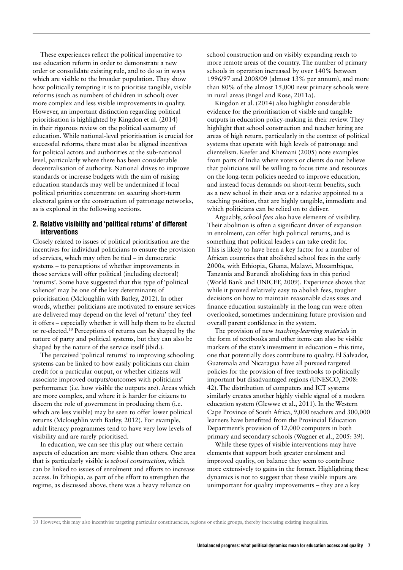These experiences reflect the political imperative to use education reform in order to demonstrate a new order or consolidate existing rule, and to do so in ways which are visible to the broader population. They show how politically tempting it is to prioritise tangible, visible reforms (such as numbers of children in school) over more complex and less visible improvements in quality. However, an important distinction regarding political prioritisation is highlighted by Kingdon et al. (2014) in their rigorous review on the political economy of education. While national-level prioritisation is crucial for successful reforms, there must also be aligned incentives for political actors and authorities at the sub-national level, particularly where there has been considerable decentralisation of authority. National drives to improve standards or increase budgets with the aim of raising education standards may well be undermined if local political priorities concentrate on securing short-term electoral gains or the construction of patronage networks, as is explored in the following sections.

#### 2. Relative visibility and 'political returns' of different interventions

Closely related to issues of political prioritisation are the incentives for individual politicians to ensure the provision of services, which may often be tied – in democratic systems – to perceptions of whether improvements in those services will offer political (including electoral) 'returns'. Some have suggested that this type of 'political salience' may be one of the key determinants of prioritisation (Mcloughlin with Batley, 2012). In other words, whether politicians are motivated to ensure services are delivered may depend on the level of 'return' they feel it offers – especially whether it will help them to be elected or re-elected.10 Perceptions of returns can be shaped by the nature of party and political systems, but they can also be shaped by the nature of the service itself (ibid.).

The perceived 'political returns' to improving schooling systems can be linked to how easily politicians can claim credit for a particular output, or whether citizens will associate improved outputs/outcomes with politicians' performance (i.e. how visible the outputs are). Areas which are more complex, and where it is harder for citizens to discern the role of government in producing them (i.e. which are less visible) may be seen to offer lower political returns (Mcloughlin with Batley, 2012). For example, adult literacy programmes tend to have very low levels of visibility and are rarely prioritised.

In education, we can see this play out where certain aspects of education are more visible than others. One area that is particularly visible is *school construction*, which can be linked to issues of enrolment and efforts to increase access. In Ethiopia, as part of the effort to strengthen the regime, as discussed above, there was a heavy reliance on

school construction and on visibly expanding reach to more remote areas of the country. The number of primary schools in operation increased by over 140% between 1996/97 and 2008/09 (almost 13% per annum), and more than 80% of the almost 15,000 new primary schools were in rural areas (Engel and Rose, 2011a).

Kingdon et al. (2014) also highlight considerable evidence for the prioritisation of visible and tangible outputs in education policy-making in their review. They highlight that school construction and teacher hiring are areas of high return, particularly in the context of political systems that operate with high levels of patronage and clientelism. Keefer and Khemani (2005) note examples from parts of India where voters or clients do not believe that politicians will be willing to focus time and resources on the long-term policies needed to improve education, and instead focus demands on short-term benefits, such as a new school in their area or a relative appointed to a teaching position, that are highly tangible, immediate and which politicians can be relied on to deliver.

Arguably, *school fees* also have elements of visibility. Their abolition is often a significant driver of expansion in enrolment, can offer high political returns, and is something that political leaders can take credit for. This is likely to have been a key factor for a number of African countries that abolished school fees in the early 2000s, with Ethiopia, Ghana, Malawi, Mozambique, Tanzania and Burundi abolishing fees in this period (World Bank and UNICEF, 2009). Experience shows that while it proved relatively easy to abolish fees, tougher decisions on how to maintain reasonable class sizes and finance education sustainably in the long run were often overlooked, sometimes undermining future provision and overall parent confidence in the system.

The provision of new *teaching-learning materials* in the form of textbooks and other items can also be visible markers of the state's investment in education – this time, one that potentially does contribute to quality. El Salvador, Guatemala and Nicaragua have all pursued targeted policies for the provision of free textbooks to politically important but disadvantaged regions (UNESCO, 2008: 42). The distribution of computers and ICT systems similarly creates another highly visible signal of a modern education system (Glewwe et al., 2011). In the Western Cape Province of South Africa, 9,000 teachers and 300,000 learners have benefitted from the Provincial Education Department's provision of 12,000 computers in both primary and secondary schools (Wagner et al., 2005: 39).

While these types of visible interventions may have elements that support both greater enrolment and improved quality, on balance they seem to contribute more extensively to gains in the former. Highlighting these dynamics is not to suggest that these visible inputs are unimportant for quality improvements – they are a key

<sup>10</sup> However, this may also incentivise targeting particular constituencies, regions or ethnic groups, thereby increasing existing inequalities.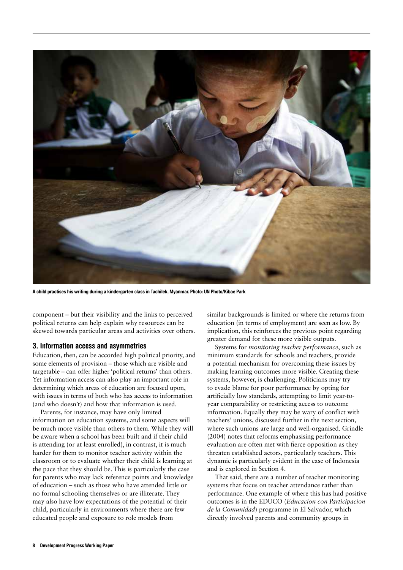

A child practises his writing during a kindergarten class in Tachilek, Myanmar. Photo: UN Photo/Kibae Park

component – but their visibility and the links to perceived political returns can help explain why resources can be skewed towards particular areas and activities over others.

#### 3. Information access and asymmetries

Education, then, can be accorded high political priority, and some elements of provision – those which are visible and targetable – can offer higher'political returns' than others. Yet information access can also play an important role in determining which areas of education are focused upon, with issues in terms of both who has access to information (and who doesn't) and how that information is used.

Parents, for instance, may have only limited information on education systems, and some aspects will be much more visible than others to them. While they will be aware when a school has been built and if their child is attending (or at least enrolled), in contrast, it is much harder for them to monitor teacher activity within the classroom or to evaluate whether their child is learning at the pace that they should be. This is particularly the case for parents who may lack reference points and knowledge of education – such as those who have attended little or no formal schooling themselves or are illiterate. They may also have low expectations of the potential of their child, particularly in environments where there are few educated people and exposure to role models from

similar backgrounds is limited or where the returns from education (in terms of employment) are seen as low. By implication, this reinforces the previous point regarding greater demand for these more visible outputs.

Systems for *monitoring teacher performance*, such as minimum standards for schools and teachers, provide a potential mechanism for overcoming these issues by making learning outcomes more visible. Creating these systems, however, is challenging. Politicians may try to evade blame for poor performance by opting for artificially low standards, attempting to limit year-toyear comparability or restricting access to outcome information. Equally they may be wary of conflict with teachers' unions, discussed further in the next section, where such unions are large and well-organised. Grindle (2004) notes that reforms emphasising performance evaluation are often met with fierce opposition as they threaten established actors, particularly teachers. This dynamic is particularly evident in the case of Indonesia and is explored in Section 4.

That said, there are a number of teacher monitoring systems that focus on teacher attendance rather than performance. One example of where this has had positive outcomes is in the EDUCO (*Educacion con Participacion de la Comunidad*) programme in El Salvador, which directly involved parents and community groups in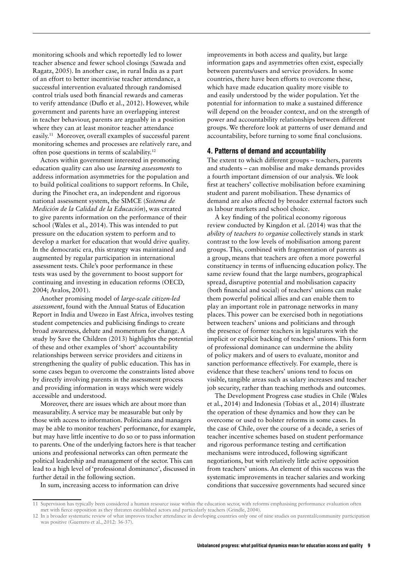monitoring schools and which reportedly led to lower teacher absence and fewer school closings (Sawada and Ragatz, 2005). In another case, in rural India as a part of an effort to better incentivise teacher attendance, a successful intervention evaluated through randomised control trials used both financial rewards and cameras to verify attendance (Duflo et al., 2012). However, while government and parents have an overlapping interest in teacher behaviour, parents are arguably in a position where they can at least monitor teacher attendance easily.11 Moreover, overall examples of successful parent monitoring schemes and processes are relatively rare, and often pose questions in terms of scalability.12

Actors within government interested in promoting education quality can also use *learning assessments* to address information asymmetries for the population and to build political coalitions to support reforms. In Chile, during the Pinochet era, an independent and rigorous national assessment system, the SIMCE (*Sistema de Medición de la Calidad de la Educación*), was created to give parents information on the performance of their school (Wales et al., 2014). This was intended to put pressure on the education system to perform and to develop a market for education that would drive quality. In the democratic era, this strategy was maintained and augmented by regular participation in international assessment tests. Chile's poor performance in these tests was used by the government to boost support for continuing and investing in education reforms (OECD, 2004; Avalos, 2001).

Another promising model of *large-scale citizen-led assessment*, found with the Annual Status of Education Report in India and Uwezo in East Africa, involves testing student competencies and publicising findings to create broad awareness, debate and momentum for change. A study by Save the Children (2013) highlights the potential of these and other examples of 'short' accountability relationships between service providers and citizens in strengthening the quality of public education. This has in some cases begun to overcome the constraints listed above by directly involving parents in the assessment process and providing information in ways which were widely accessible and understood.

Moreover, there are issues which are about more than measurability. A service may be measurable but only by those with access to information. Politicians and managers may be able to monitor teachers' performance, for example, but may have little incentive to do so or to pass information to parents. One of the underlying factors here is that teacher unions and professional networks can often permeate the political leadership and management of the sector. This can lead to a high level of 'professional dominance', discussed in further detail in the following section.

improvements in both access and quality, but large information gaps and asymmetries often exist, especially between parents/users and service providers. In some countries, there have been efforts to overcome these, which have made education quality more visible to and easily understood by the wider population. Yet the potential for information to make a sustained difference will depend on the broader context, and on the strength of power and accountability relationships between different groups. We therefore look at patterns of user demand and accountability, before turning to some final conclusions.

#### 4. Patterns of demand and accountability

The extent to which different groups – teachers, parents and students – can mobilise and make demands provides a fourth important dimension of our analysis. We look first at teachers' collective mobilisation before examining student and parent mobilisation. These dynamics of demand are also affected by broader external factors such as labour markets and school choice.

A key finding of the political economy rigorous review conducted by Kingdon et al. (2014) was that the *ability of teachers to organise* collectively stands in stark contrast to the low levels of mobilisation among parent groups. This, combined with fragmentation of parents as a group, means that teachers are often a more powerful constituency in terms of influencing education policy. The same review found that the large numbers, geographical spread, disruptive potential and mobilisation capacity (both financial and social) of teachers' unions can make them powerful political allies and can enable them to play an important role in patronage networks in many places. This power can be exercised both in negotiations between teachers' unions and politicians and through the presence of former teachers in legislatures with the implicit or explicit backing of teachers' unions. This form of professional dominance can undermine the ability of policy makers and of users to evaluate, monitor and sanction performance effectively. For example, there is evidence that these teachers' unions tend to focus on visible, tangible areas such as salary increases and teacher job security, rather than teaching methods and outcomes.

The Development Progress case studies in Chile (Wales et al., 2014) and Indonesia (Tobias et al., 2014) illustrate the operation of these dynamics and how they can be overcome or used to bolster reforms in some cases. In the case of Chile, over the course of a decade, a series of teacher incentive schemes based on student performance and rigorous performance testing and certification mechanisms were introduced, following significant negotiations, but with relatively little active opposition from teachers' unions. An element of this success was the systematic improvements in teacher salaries and working conditions that successive governments had secured since

In sum, increasing access to information can drive

<sup>11</sup> Supervision has typically been considered a human resource issue within the education sector, with reforms emphasising performance evaluation often met with fierce opposition as they threaten established actors and particularly teachers (Grindle, 2004).

<sup>12</sup> In a broader systematic review of what improves teacher attendance in developing countries only one of nine studies on parental/community participation was positive (Guerrero et al., 2012: 36-37).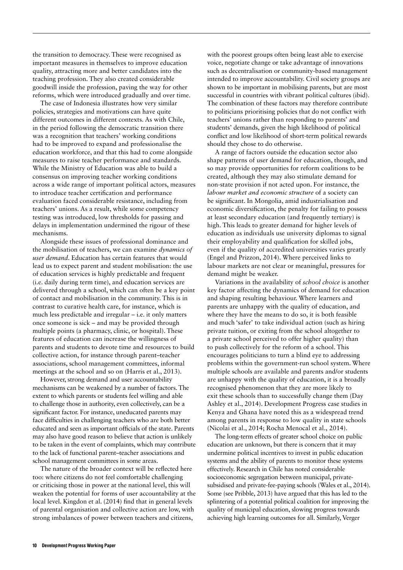the transition to democracy. These were recognised as important measures in themselves to improve education quality, attracting more and better candidates into the teaching profession. They also created considerable goodwill inside the profession, paving the way for other reforms, which were introduced gradually and over time.

The case of Indonesia illustrates how very similar policies, strategies and motivations can have quite different outcomes in different contexts. As with Chile, in the period following the democratic transition there was a recognition that teachers' working conditions had to be improved to expand and professionalise the education workforce, and that this had to come alongside measures to raise teacher performance and standards. While the Ministry of Education was able to build a consensus on improving teacher working conditions across a wide range of important political actors, measures to introduce teacher certification and performance evaluation faced considerable resistance, including from teachers' unions. As a result, while some competency testing was introduced, low thresholds for passing and delays in implementation undermined the rigour of these mechanisms.

Alongside these issues of professional dominance and the mobilisation of teachers, we can examine *dynamics of user demand*. Education has certain features that would lead us to expect parent and student mobilisation: the use of education services is highly predictable and frequent (i.e. daily during term time), and education services are delivered through a school, which can often be a key point of contact and mobilisation in the community. This is in contrast to curative health care, for instance, which is much less predictable and irregular – i.e. it only matters once someone is sick – and may be provided through multiple points (a pharmacy, clinic, or hospital). These features of education can increase the willingness of parents and students to devote time and resources to build collective action, for instance through parent–teacher associations, school management committees, informal meetings at the school and so on (Harris et al., 2013).

However, strong demand and user accountability mechanisms can be weakened by a number of factors. The extent to which parents or students feel willing and able to challenge those in authority, even collectively, can be a significant factor. For instance, uneducated parents may face difficulties in challenging teachers who are both better educated and seen as important officials of the state. Parents may also have good reason to believe that action is unlikely to be taken in the event of complaints, which may contribute to the lack of functional parent–teacher associations and school management committees in some areas.

The nature of the broader context will be reflected here too: where citizens do not feel comfortable challenging or criticising those in power at the national level, this will weaken the potential for forms of user accountability at the local level. Kingdon et al. (2014) find that in general levels of parental organisation and collective action are low, with strong imbalances of power between teachers and citizens,

with the poorest groups often being least able to exercise voice, negotiate change or take advantage of innovations such as decentralisation or community-based management intended to improve accountability. Civil society groups are shown to be important in mobilising parents, but are most successful in countries with vibrant political cultures (ibid). The combination of these factors may therefore contribute to politicians prioritising policies that do not conflict with teachers' unions rather than responding to parents' and students' demands, given the high likelihood of political conflict and low likelihood of short-term political rewards should they chose to do otherwise.

A range of factors outside the education sector also shape patterns of user demand for education, though, and so may provide opportunities for reform coalitions to be created, although they may also stimulate demand for non-state provision if not acted upon. For instance, the *labour market and economic structure* of a society can be significant. In Mongolia, amid industrialisation and economic diversification, the penalty for failing to possess at least secondary education (and frequently tertiary) is high. This leads to greater demand for higher levels of education as individuals use university diplomas to signal their employability and qualification for skilled jobs, even if the quality of accredited universities varies greatly (Engel and Prizzon, 2014). Where perceived links to labour markets are not clear or meaningful, pressures for demand might be weaker.

Variations in the availability of *school choice* is another key factor affecting the dynamics of demand for education and shaping resulting behaviour. Where learners and parents are unhappy with the quality of education, and where they have the means to do so, it is both feasible and much 'safer' to take individual action (such as hiring private tuition, or exiting from the school altogether to a private school perceived to offer higher quality) than to push collectively for the reform of a school. This encourages politicians to turn a blind eye to addressing problems within the government-run school system. Where multiple schools are available and parents and/or students are unhappy with the quality of education, it is a broadly recognised phenomenon that they are more likely to exit these schools than to successfully change them (Day Ashley et al., 2014). Development Progress case studies in Kenya and Ghana have noted this as a widespread trend among parents in response to low quality in state schools (Nicolai et al., 2014; Rocha Menocal et al., 2014).

The long-term effects of greater school choice on public education are unknown, but there is concern that it may undermine political incentives to invest in public education systems and the ability of parents to monitor these systems effectively. Research in Chile has noted considerable socioeconomic segregation between municipal, privatesubsidised and private-fee-paying schools (Wales et al., 2014). Some (see Pribble, 2013) have argued that this has led to the splintering of a potential political coalition for improving the quality of municipal education, slowing progress towards achieving high learning outcomes for all. Similarly, Verger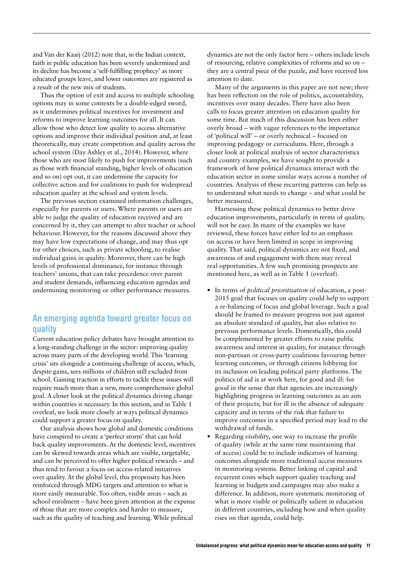and Van der Kaaij (2012) note that, in the Indian context, faith in public education has been severely undermined and its decline has become a 'self-fulfilling prophecy' as more educated groups leave, and lower outcomes are registered as a result of the new mix of students.

Thus the option of exit and access to multiple schooling options may in some contexts be a double-edged sword, as it undermines political incentives for investment and reforms to improve learning outcomes for all. It can allow those who detect low quality to access alternative options and improve their individual position and, at least theoretically, may create competition and quality across the school system (Day Ashley et al., 2014). However, where those who are most likely to push for improvements (such as those with financial standing, higher levels of education and so on) opt out, it can undermine the capacity for collective action and for coalitions to push for widespread education quality at the school and system levels.

The previous section examined information challenges, especially for parents or users. Where parents or users are able to judge the quality of education received and are concerned by it, they can attempt to alter teacher or school behaviour. However, for the reasons discussed above they may have low expectations of change, and may thus opt for other choices, such as private schooling, to realise individual gains in quality. Moreover, there can be high levels of professional dominance, for instance through teachers' unions, that can take precedence over parent and student demands, influencing education agendas and undermining monitoring or other performance measures.

#### An emerging agenda toward greater focus on quality

Current education policy debates have brought attention to a long-standing challenge in the sector: improving quality across many parts of the developing world. This'learning crisis' sits alongside a continuing challenge of access, which, despite gains, sees millions of children still excluded from school. Gaining traction in efforts to tackle these issues will require much more than a new, more comprehensive global goal. A closer look at the political dynamics driving change within countries is necessary. In this section, and in Table 1 overleaf, we look more closely at ways political dynamics could support a greater focus on quality.

Our analysis shows how global and domestic conditions have conspired to create a 'perfect storm' that can hold back quality improvements. At the domestic level, incentives can be skewed towards areas which are visible, targetable, and can be perceived to offer higher political rewards – and thus tend to favour a focus on access-related initiatives over quality. At the global level, this propensity has been reinforced through MDG targets and attention to what is more easily measurable. Too often, visible areas – such as school enrolment – have been given attention at the expense of those that are more complex and harder to measure, such as the quality of teaching and learning. While political

dynamics are not the only factor here – others include levels of resourcing, relative complexities of reforms and so on – they are a central piece of the puzzle, and have received less attention to date.

Many of the arguments in this paper are not new; there has been reflection on the role of politics, accountability, incentives over many decades. There have also been calls to focus greater attention on education quality for some time. But much of this discussion has been either overly broad – with vague references to the importance of 'political will' – or overly technical – focused on improving pedagogy or curriculums. Here, through a closer look at political analysis of sector characteristics and country examples, we have sought to provide a framework of how political dynamics interact with the education sector in some similar ways across a number of countries. Analysis of these recurring patterns can help us to understand what needs to change – and what could be better measured.

Harnessing these political dynamics to better drive education improvements, particularly in terms of quality, will not be easy. In many of the examples we have reviewed, these forces have either led to an emphasis on access or have been limited in scope in improving quality. That said, political dynamics are not fixed, and awareness of and engagement with them may reveal real opportunities. A few such promising prospects are mentioned here, as well as in Table 1 (overleaf).

- **•** In terms of *political prioritisation* of education, a post-2015 goal that focuses on quality could help to support a re-balancing of focus and global leverage. Such a goal should be framed to measure progress not just against an absolute standard of quality, but also relative to previous performance levels. Domestically, this could be complemented by greater efforts to raise public awareness and interest in quality, for instance through non-partisan or cross-party coalitions favouring better learning outcomes, or through citizens lobbying for its inclusion on leading political party platforms. The politics of aid is at work here, for good and ill: for good in the sense that that agencies are increasingly highlighting progress in learning outcomes as an aim of their projects; but for ill in the absence of adequate capacity and in terms of the risk that failure to improve outcomes in a specified period may lead to the withdrawal of funds.
- **•** Regarding *visibility*, one way to increase the profile of quality (while at the same time maintaining that of access) could be to include indicators of learning outcomes alongside more traditional access measures in monitoring systems. Better linking of capital and recurrent costs which support quality teaching and learning in budgets and campaigns may also make a difference. In addition, more systematic monitoring of what is more visible or politically salient in education in different countries, including how and when quality rises on that agenda, could help.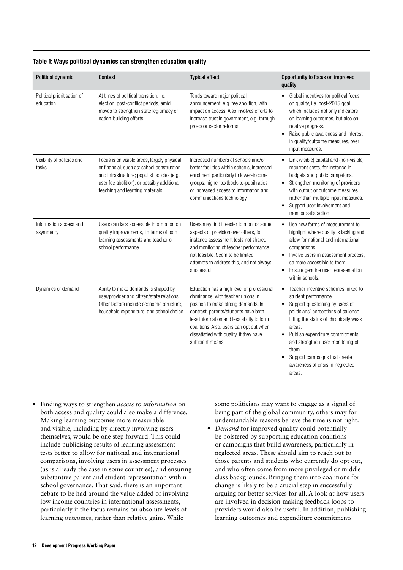| Political dynamic                        | <b>Context</b>                                                                                                                                                                                                             | <b>Typical effect</b>                                                                                                                                                                                                                                                                                                  | Opportunity to focus on improved<br>quality                                                                                                                                                                                                                                                                                                                                                        |
|------------------------------------------|----------------------------------------------------------------------------------------------------------------------------------------------------------------------------------------------------------------------------|------------------------------------------------------------------------------------------------------------------------------------------------------------------------------------------------------------------------------------------------------------------------------------------------------------------------|----------------------------------------------------------------------------------------------------------------------------------------------------------------------------------------------------------------------------------------------------------------------------------------------------------------------------------------------------------------------------------------------------|
| Political prioritisation of<br>education | At times of political transition, i.e.<br>election, post-conflict periods, amid<br>moves to strengthen state legitimacy or<br>nation-building efforts                                                                      | Tends toward major political<br>announcement, e.g. fee abolition, with<br>impact on access. Also involves efforts to<br>increase trust in government, e.g. through<br>pro-poor sector reforms                                                                                                                          | Global incentives for political focus<br>on quality, i.e. post-2015 goal,<br>which includes not only indicators<br>on learning outcomes, but also on<br>relative progress.<br>Raise public awareness and interest<br>in quality/outcome measures, over<br>input measures.                                                                                                                          |
| Visibility of policies and<br>tasks      | Focus is on visible areas, largely physical<br>or financial, such as: school construction<br>and infrastructure; populist policies (e.g.<br>user fee abolition); or possibly additional<br>teaching and learning materials | Increased numbers of schools and/or<br>better facilities within schools, increased<br>enrolment particularly in lower-income<br>groups, higher textbook-to-pupil ratios<br>or increased access to information and<br>communications technology                                                                         | Link (visible) capital and (non-visible)<br>recurrent costs, for instance in<br>budgets and public campaigns.<br>Strengthen monitoring of providers<br>with output or outcome measures<br>rather than multiple input measures.<br>Support user involvement and<br>٠<br>monitor satisfaction.                                                                                                       |
| Information access and<br>asymmetry      | Users can lack accessible information on<br>quality improvements, in terms of both<br>learning assessments and teacher or<br>school performance                                                                            | Users may find it easier to monitor some<br>aspects of provision over others, for<br>instance assessment tests not shared<br>and monitoring of teacher performance<br>not feasible. Seem to be limited<br>attempts to address this, and not always<br>successful                                                       | Use new forms of measurement to<br>highlight where quality is lacking and<br>allow for national and international<br>comparisons.<br>Involve users in assessment process,<br>$\bullet$<br>so more accessible to them.<br>Ensure genuine user representation<br>٠<br>within schools.                                                                                                                |
| Dynamics of demand                       | Ability to make demands is shaped by<br>user/provider and citizen/state relations.<br>Other factors include economic structure,<br>household expenditure, and school choice                                                | Education has a high level of professional<br>dominance, with teacher unions in<br>position to make strong demands. In<br>contrast, parents/students have both<br>less information and less ability to form<br>coalitions. Also, users can opt out when<br>dissatisfied with quality, if they have<br>sufficient means | Teacher incentive schemes linked to<br>$\bullet$<br>student performance.<br>Support questioning by users of<br>$\bullet$<br>politicians' perceptions of salience,<br>lifting the status of chronically weak<br>areas.<br>Publish expenditure commitments<br>$\bullet$<br>and strengthen user monitoring of<br>them.<br>Support campaigns that create<br>awareness of crisis in neglected<br>areas. |

#### Table 1: Ways political dynamics can strengthen education quality

**•** Finding ways to strengthen *access to information* on both access and quality could also make a difference. Making learning outcomes more measurable and visible, including by directly involving users themselves, would be one step forward. This could include publicising results of learning assessment tests better to allow for national and international comparisons, involving users in assessment processes (as is already the case in some countries), and ensuring substantive parent and student representation within school governance. That said, there is an important debate to be had around the value added of involving low income countries in international assessments, particularly if the focus remains on absolute levels of learning outcomes, rather than relative gains. While

some politicians may want to engage as a signal of being part of the global community, others may for understandable reasons believe the time is not right.

**•** *Demand* for improved quality could potentially be bolstered by supporting education coalitions or campaigns that build awareness, particularly in neglected areas. These should aim to reach out to those parents and students who currently do opt out, and who often come from more privileged or middle class backgrounds. Bringing them into coalitions for change is likely to be a crucial step in successfully arguing for better services for all. A look at how users are involved in decision-making feedback loops to providers would also be useful. In addition, publishing learning outcomes and expenditure commitments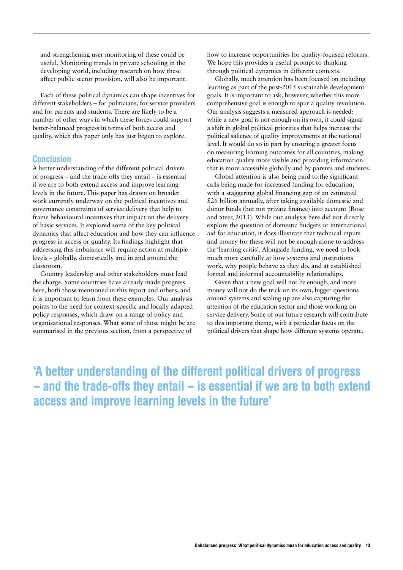and strengthening user monitoring of these could be useful. Monitoring trends in private schooling in the developing world, including research on how these affect public sector provision, will also be important.

Each of these political dynamics can shape incentives for different stakeholders – for politicians, for service providers and for parents and students. There are likely to be a number of other ways in which these forces could support better-balanced progress in terms of both access and quality, which this paper only has just begun to explore.

#### **Conclusion**

A better understanding of the different political drivers of progress – and the trade-offs they entail – is essential if we are to both extend access and improve learning levels in the future. This paper has drawn on broader work currently underway on the political incentives and governance constraints of service delivery that help to frame behavioural incentives that impact on the delivery of basic services. It explored some of the key political dynamics that affect education and how they can influence progress in access or quality. Its findings highlight that addressing this imbalance will require action at multiple levels – globally, domestically and in and around the classroom.

Country leadership and other stakeholders must lead the charge. Some countries have already made progress here, both those mentioned in this report and others, and it is important to learn from these examples. Our analysis points to the need for context-specific and locally adapted policy responses, which draw on a range of policy and organisational responses. What some of those might be are summarised in the previous section, from a perspective of

how to increase opportunities for quality-focused reforms. We hope this provides a useful prompt to thinking through political dynamics in different contexts.

Globally, much attention has been focused on including learning as part of the post-2015 sustainable development goals. It is important to ask, however, whether this more comprehensive goal is enough to spur a quality revolution. Our analysis suggests a measured approach is needed: while a new goal is not enough on its own, it could signal a shift in global political priorities that helps increase the political salience of quality improvements at the national level. It would do so in part by ensuring a greater focus on measuring learning outcomes for all countries, making education quality more visible and providing information that is more accessible globally and by parents and students.

Global attention is also being paid to the significant calls being made for increased funding for education, with a staggering global financing gap of an estimated \$26 billion annually, after taking available domestic and donor funds (but not private finance) into account (Rose and Steer, 2013). While our analysis here did not directly explore the question of domestic budgets or international aid for education, it does illustrate that technical inputs and money for these will not be enough alone to address the 'learning crisis'. Alongside funding, we need to look much more carefully at how systems and institutions work, why people behave as they do, and at established formal and informal accountability relationships.

Given that a new goal will not be enough, and more money will not do the trick on its own, bigger questions around systems and scaling up are also capturing the attention of the education sector and those working on service delivery. Some of our future research will contribute to this important theme, with a particular focus on the political drivers that shape how different systems operate.

'A better understanding of the different political drivers of progress – and the trade-offs they entail – is essential if we are to both extend access and improve learning levels in the future'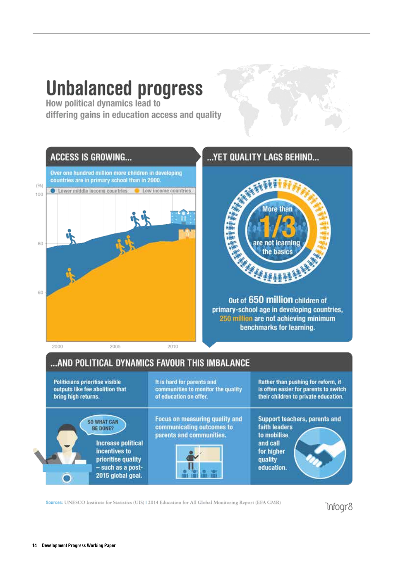# **Unbalanced progress**<br>How political dynamics lead to

differing gains in education access and quality



#### ...YET QUALITY LAGS BEHIND...



Out of 650 million children of primary-school age in developing countries, 250 million are not achieving minimum benchmarks for learning.

| Politicians prioritise visible                                                                                                               | It is hard for parents and                                                              | Rather than pushing for reform, it                                                                               |
|----------------------------------------------------------------------------------------------------------------------------------------------|-----------------------------------------------------------------------------------------|------------------------------------------------------------------------------------------------------------------|
| outputs like fee abolition that<br>bring high returns.                                                                                       | communities to monitor the quality<br>of education on offer.                            | is often easier for parents to switch<br>their children to private education.                                    |
| <b>SO WHAT CAN</b><br>BE DONE?<br><b>Increase political</b><br>incentives to<br>prioritise quality<br>- such as a post-<br>2015 global goal. | Focus on measuring quality and<br>communicating outcomes to<br>parents and communities. | Support teachers, parents and<br>faith leaders<br>to mobilise<br>and call<br>for higher<br>quality<br>education. |

Sources: UNESCO Institute for Statistics (UIS) | 2014 Education for All Global Monitoring Report (EFA GMR)

infogr8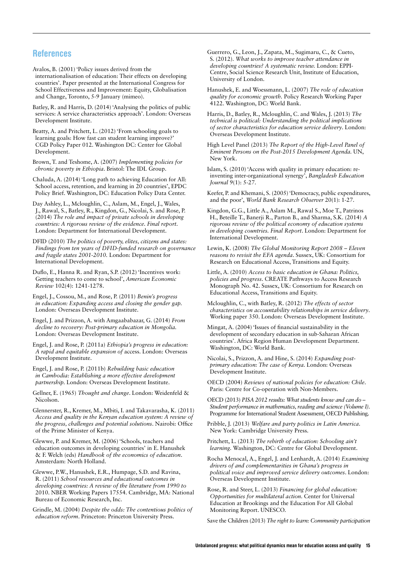#### References

Avalos, B. (2001) 'Policy issues derived from the internationalisation of education: Their effects on developing countries'. Paper presented at the International Congress for School Effectiveness and Improvement: Equity, Globalisation and Change, Toronto, 5-9 January (mimeo).

Batley, R. and Harris, D. (2014) 'Analysing the politics of public services: A service characteristics approach'. London: Overseas Development Institute.

Beatty, A. and Pritchett, L. (2012) 'From schooling goals to learning goals: How fast can student learning improve?' CGD Policy Paper 012. Washington DC: Center for Global Development.

Brown, T. and Teshome, A. (2007) *Implementing policies for chronic poverty in Ethiopia*. Bristol: The IDL Group.

Chaluda, A. (2014) 'Long path to achieving Education for All: School access, retention, and learning in 20 countries', EPDC Policy Brief. Washington, DC: Education Policy Data Center.

Day Ashley, L., Mcloughlin, C., Aslam, M., Engel, J., Wales, J., Rawal, S., Batley, R., Kingdon, G., Nicolai, S. and Rose, P. (2014) *The role and impact of private schools in developing countries: A rigorous review of the evidence. Final report.* London: Department for International Development.

DFID (2010) *The politics of poverty, elites, citizens and states: Findings from ten years of DFID-funded research on governance and fragile states 2001-2010.* London: Department for International Development.

Duflo, E., Hanna R. and Ryan, S.P. (2012) 'Incentives work: Getting teachers to come to school', *American Economic Review* 102(4): 1241-1278.

Engel, J., Cossou, M., and Rose, P. (2011) *Benin's progress in education: Expanding access and closing the gender gap.*  London: Overseas Development Institute.

Engel, J. and Prizzon, A. with Amgaababazar, G. (2014) *From decline to recovery: Post-primary education in Mongolia.*  London: Overseas Development Institute.

Engel, J. and Rose, P. (2011a) *Ethiopia's progress in education: A rapid and equitable expansion of* access. London: Overseas Development Institute.

Engel, J. and Rose, P. (2011b) *Rebuilding basic education in Cambodia: Establishing a more effective development partnership.* London: Overseas Development Institute.

Gellner, E. (1965) *Thought and change*. London: Weidenfeld & Nicolson.

Glennerster, R., Kremer, M., Mbiti, I. and Takavarasha, K. (2011) *Access and quality in the Kenyan education system: A review of the progress, challenges and potential solutions*. Nairobi: Office of the Prime Minister of Kenya.

Glewwe, P. and Kremer, M. (2006) 'Schools, teachers and education outcomes in developing countries' in E. Hanushek & F. Welch (eds) *Handbook of the economics of education*. Amsterdam: North Holland.

Glewwe, P.W., Hanushek, E.R., Humpage, S.D. and Ravina, R. (2011) *School resources and educational outcomes in developing countries: A review of the literature from 1990 to*  2010. NBER Working Papers 17554. Cambridge, MA: National Bureau of Economic Research, Inc.

Grindle, M. (2004) *Despite the odds: The contentious politics of education reform*. Princeton: Princeton University Press.

Guerrero, G., Leon, J., Zapata, M., Sugimaru, C., & Cueto, S. (2012). *What works to improve teacher attendance in developing countries? A systematic review.* London: EPPI-Centre, Social Science Research Unit, Institute of Education, University of London.

Hanushek, E. and Woessmann, L. (2007) *The role of education quality for economic growth.* Policy Research Working Paper 4122. Washington, DC: World Bank.

Harris, D., Batley, R., Mcloughlin, C. and Wales, J. (2013) *The technical is political: Understanding the political implications of sector characteristics for education service delivery*. London: Overseas Development Institute.

High Level Panel (2013) *The Report of the High-Level Panel of Eminent Persons on the Post-2015 Development Agenda.* UN, New York.

Islam, S. (2010) 'Access with quality in primary education: reinventing inter-organizational synergy', *Bangladesh Education Journal*  $\overline{9}(1)$ : 5-27.

Keefer, P. and Khemani, S. (2005) 'Democracy, public expenditures, and the poor', *World Bank Research Observer* 20(1): 1-27.

Kingdon, G.G., Little A., Aslam M., Rawal S., Moe T., Patrinos H., Beteille T., Banerji R., Parton B., and Sharma, S.K. (2014) *A rigorous review of the political economy of education systems in developing countries. Final Report*. London: Department for International Development.

Lewin, K. (2008) *The Global Monitoring Report 2008 – Eleven reasons to revisit the EFA agenda*. Sussex, UK: Consortium for Research on Educational Access, Transitions and Equity.

Little, A. (2010) *Access to basic education in Ghana: Politics, policies and progress*. CREATE Pathways to Access Research Monograph No. 42. Sussex, UK: Consortium for Research on Educational Access, Transitions and Equity.

Mcloughlin, C., with Batley, R. (2012) *The effects of sector characteristics on accountability relationships in service delivery*. Working paper 350. London: Overseas Development Institute.

Mingat, A. (2004) 'Issues of financial sustainability in the development of secondary education in sub-Saharan African countries'. Africa Region Human Development Department. Washington, DC: World Bank.

Nicolai, S., Prizzon, A. and Hine, S. (2014) *Expanding postprimary education: The case of Kenya.* London: Overseas Development Institute.

OECD (2004) *Reviews of national policies for education: Chile*. Paris: Centre for Co-operation with Non-Members.

OECD (2013) *PISA 2012 results: What students know and can do – Student performance in mathematics, reading and science (Volume I).* Programme for International Student Assessment, OECD Publishing.

Pribble, J. (2013) *Welfare and party politics in Latin America*. New York: Cambridge University Press.

Pritchett, L. (2013) *The rebirth of education: Schooling ain't learning.* Washington, DC: Centre for Global Development.

Rocha Menocal, A., Engel, J. and Lenhardt, A. (2014) *Examining drivers of and complementarities in Ghana's progress in political voice and improved service delivery outcomes*. London: Overseas Development Institute.

Rose, R. and Steer, L. (2013) *Financing for global education: Opportunities for multilateral action.* Center for Universal Education at Brookings and the Education For All Global Monitoring Report. UNESCO.

Save the Children (2013) *The right to learn: Community participation*